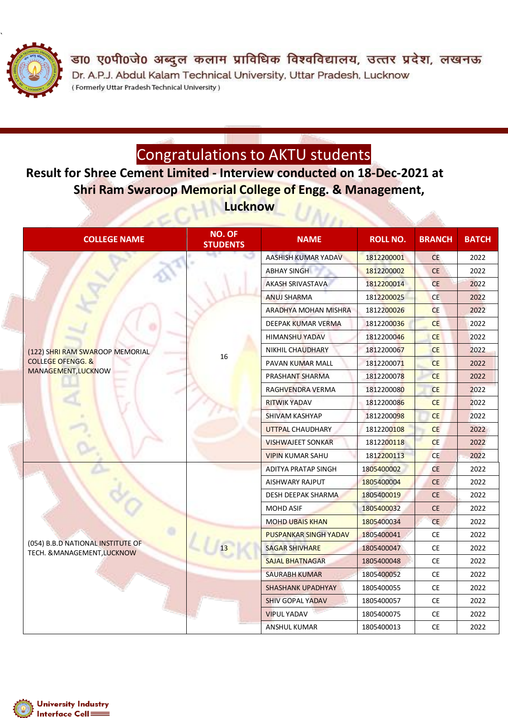

डा0 ए0पी0जे0 अब्दुल कलाम प्राविधिक विश्वविद्यालय, उत्तर प्रदेश, लखनऊ Dr. A.P.J. Abdul Kalam Technical University, Uttar Pradesh, Lucknow (Formerly Uttar Pradesh Technical University)

## Congratulations to AKTU students

**Result for Shree Cement Limited - Interview conducted on 18-Dec-2021 at Shri Ram Swaroop Memorial College of Engg. & Management, Lucknow**

| <b>COLLEGE NAME</b>                                                                    | <b>NO. OF</b><br><b>STUDENTS</b> | <b>NAME</b>                  | <b>ROLL NO.</b> | <b>BRANCH</b> | <b>BATCH</b> |
|----------------------------------------------------------------------------------------|----------------------------------|------------------------------|-----------------|---------------|--------------|
| (122) SHRI RAM SWAROOP MEMORIAL<br><b>COLLEGE OFENGG. &amp;</b><br>MANAGEMENT, LUCKNOW | 16                               | AASHISH KUMAR YADAV          | 1812200001      | <b>CE</b>     | 2022         |
|                                                                                        |                                  | <b>ABHAY SINGH</b>           | 1812200002      | <b>CE</b>     | 2022         |
|                                                                                        |                                  | <b>AKASH SRIVASTAVA</b>      | 1812200014      | <b>CE</b>     | 2022         |
|                                                                                        |                                  | <b>ANUJ SHARMA</b>           | 1812200025      | <b>CE</b>     | 2022         |
|                                                                                        |                                  | <b>ARADHYA MOHAN MISHRA</b>  | 1812200026      | <b>CE</b>     | 2022         |
|                                                                                        |                                  | <b>DEEPAK KUMAR VERMA</b>    | 1812200036      | <b>CE</b>     | 2022         |
|                                                                                        |                                  | <b>HIMANSHU YADAV</b>        | 1812200046      | <b>CE</b>     | 2022         |
|                                                                                        |                                  | NIKHIL CHAUDHARY             | 1812200067      | <b>CE</b>     | 2022         |
|                                                                                        |                                  | <b>PAVAN KUMAR MALL</b>      | 1812200071      | <b>CE</b>     | 2022         |
|                                                                                        |                                  | PRASHANT SHARMA              | 1812200078      | <b>CE</b>     | 2022         |
|                                                                                        |                                  | RAGHVENDRA VERMA             | 1812200080      | <b>CE</b>     | 2022         |
|                                                                                        |                                  | <b>RITWIK YADAV</b>          | 1812200086      | <b>CE</b>     | 2022         |
|                                                                                        |                                  | SHIVAM KASHYAP               | 1812200098      | <b>CE</b>     | 2022         |
|                                                                                        |                                  | UTTPAL CHAUDHARY             | 1812200108      | <b>CE</b>     | 2022         |
|                                                                                        |                                  | <b>VISHWAJEET SONKAR</b>     | 1812200118      | <b>CE</b>     | 2022         |
|                                                                                        |                                  | <b>VIPIN KUMAR SAHU</b>      | 1812200113      | <b>CE</b>     | 2022         |
|                                                                                        |                                  | <b>ADITYA PRATAP SINGH</b>   | 1805400002      | <b>CE</b>     | 2022         |
| (054) B.B.D NATIONAL INSTITUTE OF<br>TECH. & MANAGEMENT, LUCKNOW                       |                                  | AISHWARY RAJPUT              | 1805400004      | <b>CE</b>     | 2022         |
|                                                                                        |                                  | DESH DEEPAK SHARMA           | 1805400019      | <b>CE</b>     | 2022         |
|                                                                                        |                                  | <b>MOHD ASIF</b>             | 1805400032      | <b>CE</b>     | 2022         |
|                                                                                        |                                  | <b>MOHD UBAIS KHAN</b>       | 1805400034      | <b>CE</b>     | 2022         |
|                                                                                        |                                  | <b>PUSPANKAR SINGH YADAV</b> | 1805400041      | <b>CE</b>     | 2022         |
|                                                                                        |                                  | <b>SAGAR SHIVHARE</b>        | 1805400047      | <b>CE</b>     | 2022         |
|                                                                                        |                                  | <b>SAJAL BHATNAGAR</b>       | 1805400048      | <b>CE</b>     | 2022         |
|                                                                                        |                                  | <b>SAURABH KUMAR</b>         | 1805400052      | <b>CE</b>     | 2022         |
|                                                                                        |                                  | <b>SHASHANK UPADHYAY</b>     | 1805400055      | <b>CE</b>     | 2022         |
|                                                                                        |                                  | <b>SHIV GOPAL YADAV</b>      | 1805400057      | <b>CE</b>     | 2022         |
|                                                                                        |                                  | <b>VIPUL YADAV</b>           | 1805400075      | <b>CE</b>     | 2022         |
|                                                                                        |                                  | ANSHUL KUMAR                 | 1805400013      | <b>CE</b>     | 2022         |